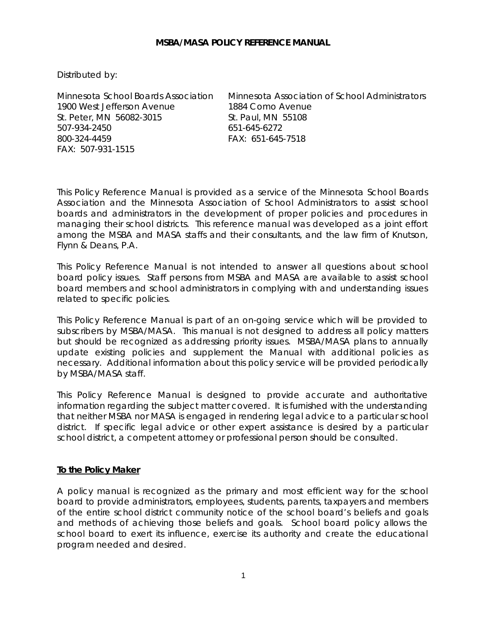#### **MSBA/MASA POLICY REFERENCE MANUAL**

Distributed by:

1900 West Jefferson Avenue 1884 Como Avenue St. Peter, MN 56082-3015 St. Paul, MN 55108 507-934-2450 651-645-6272 800-324-4459 FAX: 651-645-7518 FAX: 507-931-1515

Minnesota School Boards Association Minnesota Association of School Administrators

This Policy Reference Manual is provided as a service of the Minnesota School Boards Association and the Minnesota Association of School Administrators to assist school boards and administrators in the development of proper policies and procedures in managing their school districts. This reference manual was developed as a joint effort among the MSBA and MASA staffs and their consultants, and the law firm of Knutson, Flynn & Deans, P.A.

This Policy Reference Manual is not intended to answer all questions about school board policy issues. Staff persons from MSBA and MASA are available to assist school board members and school administrators in complying with and understanding issues related to specific policies.

This Policy Reference Manual is part of an on-going service which will be provided to subscribers by MSBA/MASA. This manual is not designed to address all policy matters but should be recognized as addressing priority issues. MSBA/MASA plans to annually update existing policies and supplement the Manual with additional policies as necessary. Additional information about this policy service will be provided periodically by MSBA/MASA staff.

This Policy Reference Manual is designed to provide accurate and authoritative information regarding the subject matter covered. It is furnished with the understanding that neither MSBA nor MASA is engaged in rendering legal advice to a particular school district. If specific legal advice or other expert assistance is desired by a particular school district, a competent attorney or professional person should be consulted.

### **To the Policy Maker**

A policy manual is recognized as the primary and most efficient way for the school board to provide administrators, employees, students, parents, taxpayers and members of the entire school district community notice of the school board's beliefs and goals and methods of achieving those beliefs and goals. School board policy allows the school board to exert its influence, exercise its authority and create the educational program needed and desired.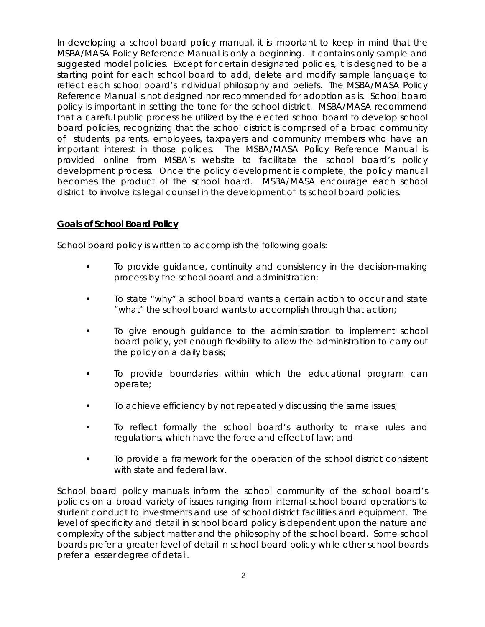In developing a school board policy manual, it is important to keep in mind that the MSBA/MASA Policy Reference Manual is only a beginning. It contains only sample and suggested model policies. Except for certain designated policies, it is designed to be a starting point for each school board to add, delete and modify sample language to reflect each school board's individual philosophy and beliefs. The MSBA/MASA Policy Reference Manual is not designed nor recommended for adoption as is. School board policy is important in setting the tone for the school district. MSBA/MASA recommend that a careful public process be utilized by the elected school board to develop school board policies, recognizing that the school district is comprised of a broad community of students, parents, employees, taxpayers and community members who have an important interest in those polices. The MSBA/MASA Policy Reference Manual is provided online from MSBA's website to facilitate the school board's policy development process. Once the policy development is complete, the policy manual becomes the product of the school board. MSBA/MASA encourage each school district to involve its legal counsel in the development of its school board policies.

## **Goals of School Board Policy**

School board policy is written to accomplish the following goals:

- To provide guidance, continuity and consistency in the decision-making process by the school board and administration;
- To state "why" a school board wants a certain action to occur and state "what" the school board wants to accomplish through that action;
- To give enough guidance to the administration to implement school board policy, yet enough flexibility to allow the administration to carry out the policy on a daily basis;
- To provide boundaries within which the educational program can operate;
- To achieve efficiency by not repeatedly discussing the same issues;
- To reflect formally the school board's authority to make rules and regulations, which have the force and effect of law; and
- To provide a framework for the operation of the school district consistent with state and federal law.

School board policy manuals inform the school community of the school board's policies on a broad variety of issues ranging from internal school board operations to student conduct to investments and use of school district facilities and equipment. The level of specificity and detail in school board policy is dependent upon the nature and complexity of the subject matter and the philosophy of the school board. Some school boards prefer a greater level of detail in school board policy while other school boards prefer a lesser degree of detail.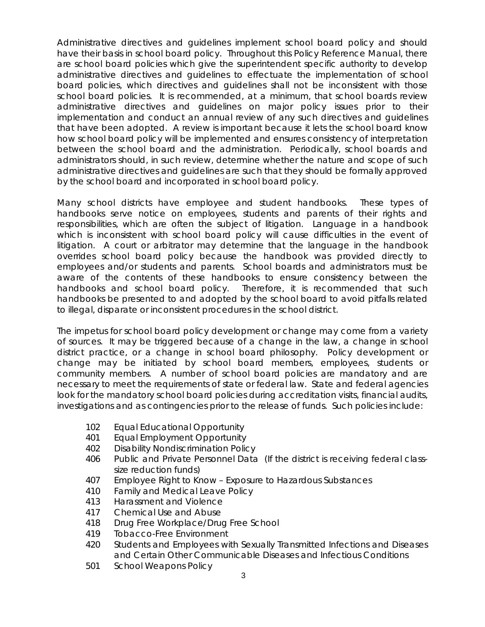Administrative directives and guidelines implement school board policy and should have their basis in school board policy. Throughout this Policy Reference Manual, there are school board policies which give the superintendent specific authority to develop administrative directives and guidelines to effectuate the implementation of school board policies, which directives and guidelines shall not be inconsistent with those school board policies. It is recommended, at a minimum, that school boards review administrative directives and guidelines on major policy issues prior to their implementation and conduct an annual review of any such directives and guidelines that have been adopted. A review is important because it lets the school board know how school board policy will be implemented and ensures consistency of interpretation between the school board and the administration. Periodically, school boards and administrators should, in such review, determine whether the nature and scope of such administrative directives and guidelines are such that they should be formally approved by the school board and incorporated in school board policy.

Many school districts have employee and student handbooks. These types of handbooks serve notice on employees, students and parents of their rights and responsibilities, which are often the subject of litigation. Language in a handbook which is inconsistent with school board policy will cause difficulties in the event of litigation. A court or arbitrator may determine that the language in the handbook overrides school board policy because the handbook was provided directly to employees and/or students and parents. School boards and administrators must be aware of the contents of these handbooks to ensure consistency between the handbooks and school board policy. Therefore, it is recommended that such handbooks be presented to and adopted by the school board to avoid pitfalls related to illegal, disparate or inconsistent procedures in the school district.

The impetus for school board policy development or change may come from a variety of sources. It may be triggered because of a change in the law, a change in school district practice, or a change in school board philosophy. Policy development or change may be initiated by school board members, employees, students or community members. A number of school board policies are mandatory and are necessary to meet the requirements of state or federal law. State and federal agencies look for the mandatory school board policies during accreditation visits, financial audits, investigations and as contingencies prior to the release of funds. Such policies include:

- 102 Equal Educational Opportunity
- 401 Equal Employment Opportunity
- 402 Disability Nondiscrimination Policy
- 406 Public and Private Personnel Data (If the district is receiving federal classsize reduction funds)
- 407 Employee Right to Know Exposure to Hazardous Substances
- 410 Family and Medical Leave Policy
- 413 Harassment and Violence
- 417 Chemical Use and Abuse
- 418 Drug Free Workplace/Drug Free School
- 419 Tobacco-Free Environment
- 420 Students and Employees with Sexually Transmitted Infections and Diseases and Certain Other Communicable Diseases and Infectious Conditions
- 501 School Weapons Policy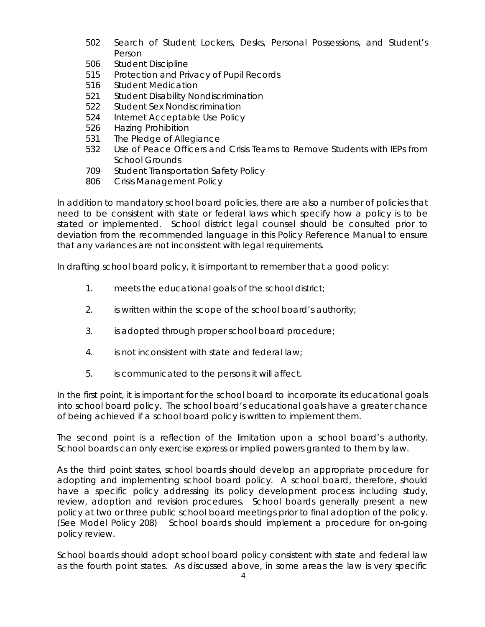- 502 Search of Student Lockers, Desks, Personal Possessions, and Student's Person
- 506 Student Discipline
- 515 Protection and Privacy of Pupil Records
- 516 Student Medication
- 521 Student Disability Nondiscrimination
- 522 Student Sex Nondiscrimination
- 524 Internet Acceptable Use Policy
- 526 Hazing Prohibition
- 531 The Pledge of Allegiance
- 532 Use of Peace Officers and Crisis Teams to Remove Students with IEPs from School Grounds
- 709 Student Transportation Safety Policy
- 806 Crisis Management Policy

In addition to mandatory school board policies, there are also a number of policies that need to be consistent with state or federal laws which specify how a policy is to be stated or implemented. School district legal counsel should be consulted prior to deviation from the recommended language in this Policy Reference Manual to ensure that any variances are not inconsistent with legal requirements.

In drafting school board policy, it is important to remember that a good policy:

- 1. meets the educational goals of the school district;
- 2. is written within the scope of the school board's authority;
- 3. is adopted through proper school board procedure;
- 4. is not inconsistent with state and federal law;
- 5. is communicated to the persons it will affect.

In the first point, it is important for the school board to incorporate its educational goals into school board policy. The school board's educational goals have a greater chance of being achieved if a school board policy is written to implement them.

The second point is a reflection of the limitation upon a school board's authority. School boards can only exercise express or implied powers granted to them by law.

As the third point states, school boards should develop an appropriate procedure for adopting and implementing school board policy. A school board, therefore, should have a specific policy addressing its policy development process including study, review, adoption and revision procedures. School boards generally present a new policy at two or three public school board meetings prior to final adoption of the policy. (See Model Policy 208) School boards should implement a procedure for on-going policy review.

School boards should adopt school board policy consistent with state and federal law as the fourth point states. As discussed above, in some areas the law is very specific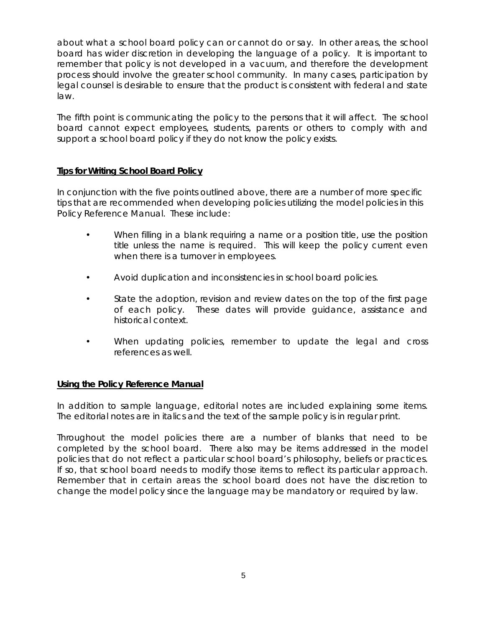about what a school board policy can or cannot do or say. In other areas, the school board has wider discretion in developing the language of a policy. It is important to remember that policy is not developed in a vacuum, and therefore the development process should involve the greater school community. In many cases, participation by legal counsel is desirable to ensure that the product is consistent with federal and state law.

The fifth point is communicating the policy to the persons that it will affect. The school board cannot expect employees, students, parents or others to comply with and support a school board policy if they do not know the policy exists.

## **Tips for Writing School Board Policy**

In conjunction with the five points outlined above, there are a number of more specific tips that are recommended when developing policies utilizing the model policies in this Policy Reference Manual. These include:

- When filling in a blank requiring a name or a position title, use the position title unless the name is required. This will keep the policy current even when there is a turnover in employees.
- Avoid duplication and inconsistencies in school board policies.
- State the adoption, revision and review dates on the top of the first page of each policy. These dates will provide guidance, assistance and historical context.
- When updating policies, remember to update the legal and cross references as well.

# **Using the Policy Reference Manual**

In addition to sample language, editorial notes are included explaining some items. The editorial notes are in italics and the text of the sample policy is in regular print.

Throughout the model policies there are a number of blanks that need to be completed by the school board. There also may be items addressed in the model policies that do not reflect a particular school board's philosophy, beliefs or practices. If so, that school board needs to modify those items to reflect its particular approach. Remember that in certain areas the school board does not have the discretion to change the model policy since the language may be mandatory or required by law.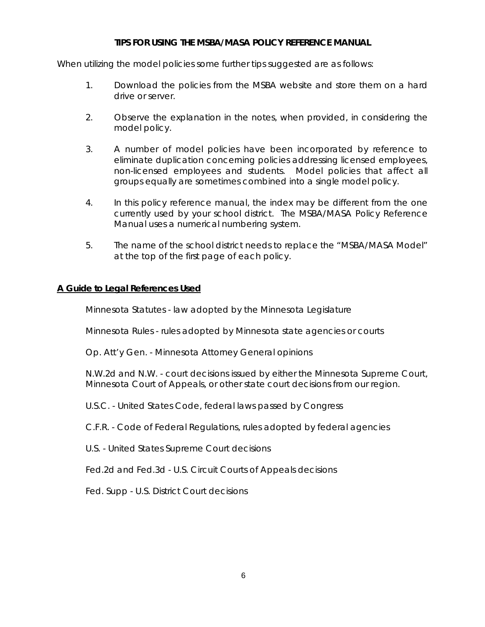## **TIPS FOR USING THE MSBA/MASA POLICY REFERENCE MANUAL**

When utilizing the model policies some further tips suggested are as follows:

- 1. Download the policies from the MSBA website and store them on a hard drive or server.
- 2. Observe the explanation in the notes, when provided, in considering the model policy.
- 3. A number of model policies have been incorporated by reference to eliminate duplication concerning policies addressing licensed employees, non-licensed employees and students. Model policies that affect all groups equally are sometimes combined into a single model policy.
- 4. In this policy reference manual, the index may be different from the one currently used by your school district. The MSBA/MASA Policy Reference Manual uses a numerical numbering system.
- 5. The name of the school district needs to replace the "MSBA/MASA Model" at the top of the first page of each policy.

# **A Guide to Legal References Used**

Minnesota Statutes - law adopted by the Minnesota Legislature

Minnesota Rules - rules adopted by Minnesota state agencies or courts

Op. Att'y Gen. - Minnesota Attorney General opinions

N.W.2d and N.W. - court decisions issued by either the Minnesota Supreme Court, Minnesota Court of Appeals, or other state court decisions from our region.

U.S.C. - United States Code, federal laws passed by Congress

C.F.R. - Code of Federal Regulations, rules adopted by federal agencies

U.S. - United States Supreme Court decisions

Fed.2d and Fed.3d - U.S. Circuit Courts of Appeals decisions

Fed. Supp - U.S. District Court decisions